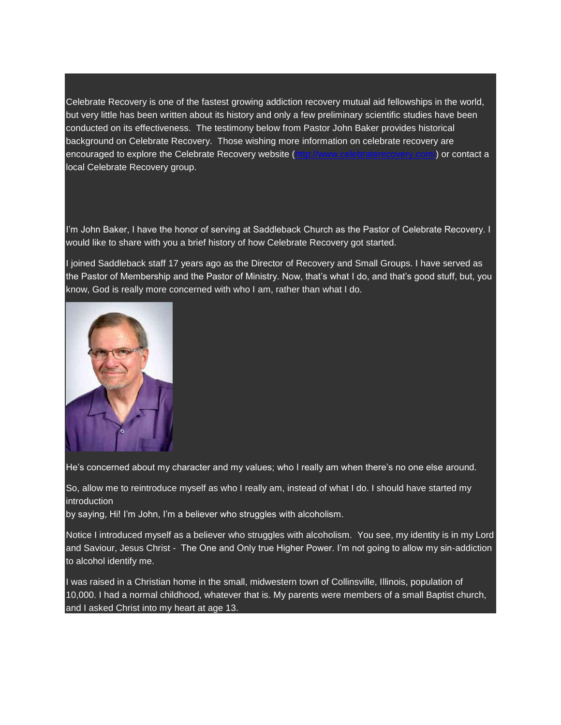Celebrate Recovery is one of the fastest growing addiction recovery mutual aid fellowships in the world, but very little has been written about its history and only a few preliminary scientific studies have been conducted on its effectiveness. The testimony below from Pastor John Baker provides historical background on Celebrate Recovery. Those wishing more information on celebrate recovery are encouraged to explore the Celebrate Recovery website [\(http://www.celebraterecovery.com/\)](http://www.celebraterecovery.com/) or contact a local Celebrate Recovery group.

I'm John Baker, I have the honor of serving at Saddleback Church as the Pastor of Celebrate Recovery. I would like to share with you a brief history of how Celebrate Recovery got started.

I joined Saddleback staff 17 years ago as the Director of Recovery and Small Groups. I have served as the Pastor of Membership and the Pastor of Ministry. Now, that's what I do, and that's good stuff, but, you know, God is really more concerned with who I am, rather than what I do.



He's concerned about my character and my values; who I really am when there's no one else around.

So, allow me to reintroduce myself as who I really am, instead of what I do. I should have started my introduction

by saying, Hi! I'm John, I'm a believer who struggles with alcoholism.

Notice I introduced myself as a believer who struggles with alcoholism. You see, my identity is in my Lord and Saviour, Jesus Christ - The One and Only true Higher Power. I'm not going to allow my sin-addiction to alcohol identify me.

I was raised in a Christian home in the small, midwestern town of Collinsville, Illinois, population of 10,000. I had a normal childhood, whatever that is. My parents were members of a small Baptist church, and I asked Christ into my heart at age 13.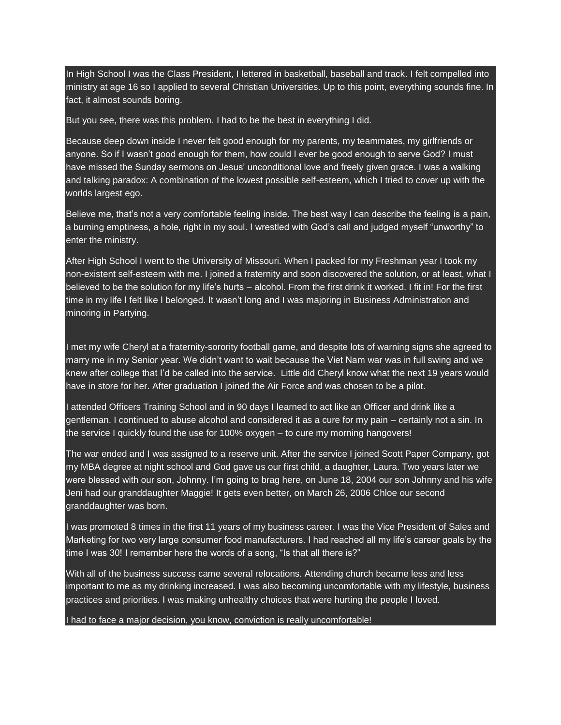In High School I was the Class President, I lettered in basketball, baseball and track. I felt compelled into ministry at age 16 so I applied to several Christian Universities. Up to this point, everything sounds fine. In fact, it almost sounds boring.

But you see, there was this problem. I had to be the best in everything I did.

Because deep down inside I never felt good enough for my parents, my teammates, my girlfriends or anyone. So if I wasn't good enough for them, how could I ever be good enough to serve God? I must have missed the Sunday sermons on Jesus' unconditional love and freely given grace. I was a walking and talking paradox: A combination of the lowest possible self-esteem, which I tried to cover up with the worlds largest ego.

Believe me, that's not a very comfortable feeling inside. The best way I can describe the feeling is a pain, a burning emptiness, a hole, right in my soul. I wrestled with God's call and judged myself "unworthy" to enter the ministry.

After High School I went to the University of Missouri. When I packed for my Freshman year I took my non-existent self-esteem with me. I joined a fraternity and soon discovered the solution, or at least, what I believed to be the solution for my life's hurts – alcohol. From the first drink it worked. I fit in! For the first time in my life I felt like I belonged. It wasn't long and I was majoring in Business Administration and minoring in Partying.

I met my wife Cheryl at a fraternity-sorority football game, and despite lots of warning signs she agreed to marry me in my Senior year. We didn't want to wait because the Viet Nam war was in full swing and we knew after college that I'd be called into the service. Little did Cheryl know what the next 19 years would have in store for her. After graduation I joined the Air Force and was chosen to be a pilot.

I attended Officers Training School and in 90 days I learned to act like an Officer and drink like a gentleman. I continued to abuse alcohol and considered it as a cure for my pain – certainly not a sin. In the service I quickly found the use for 100% oxygen – to cure my morning hangovers!

The war ended and I was assigned to a reserve unit. After the service I joined Scott Paper Company, got my MBA degree at night school and God gave us our first child, a daughter, Laura. Two years later we were blessed with our son, Johnny. I'm going to brag here, on June 18, 2004 our son Johnny and his wife Jeni had our granddaughter Maggie! It gets even better, on March 26, 2006 Chloe our second granddaughter was born.

I was promoted 8 times in the first 11 years of my business career. I was the Vice President of Sales and Marketing for two very large consumer food manufacturers. I had reached all my life's career goals by the time I was 30! I remember here the words of a song, "Is that all there is?"

With all of the business success came several relocations. Attending church became less and less important to me as my drinking increased. I was also becoming uncomfortable with my lifestyle, business practices and priorities. I was making unhealthy choices that were hurting the people I loved.

I had to face a major decision, you know, conviction is really uncomfortable!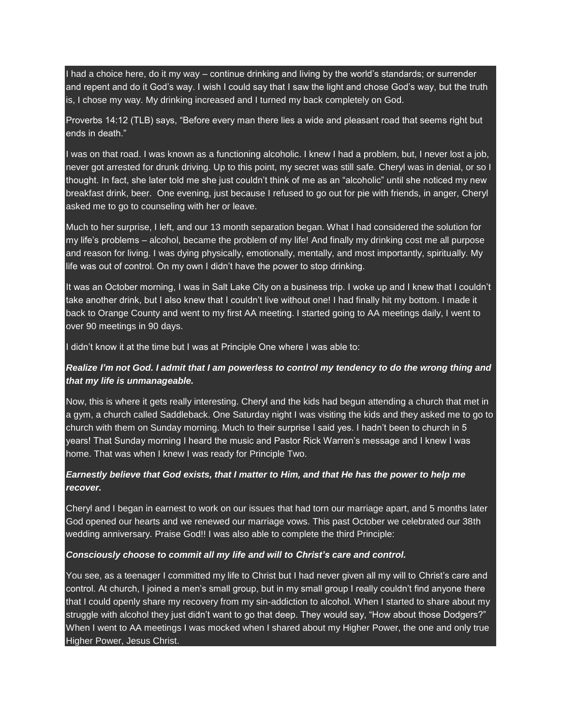I had a choice here, do it my way – continue drinking and living by the world's standards; or surrender and repent and do it God's way. I wish I could say that I saw the light and chose God's way, but the truth is, I chose my way. My drinking increased and I turned my back completely on God.

Proverbs 14:12 (TLB) says, "Before every man there lies a wide and pleasant road that seems right but ends in death."

I was on that road. I was known as a functioning alcoholic. I knew I had a problem, but, I never lost a job, never got arrested for drunk driving. Up to this point, my secret was still safe. Cheryl was in denial, or so I thought. In fact, she later told me she just couldn't think of me as an "alcoholic" until she noticed my new breakfast drink, beer. One evening, just because I refused to go out for pie with friends, in anger, Cheryl asked me to go to counseling with her or leave.

Much to her surprise, I left, and our 13 month separation began. What I had considered the solution for my life's problems – alcohol, became the problem of my life! And finally my drinking cost me all purpose and reason for living. I was dying physically, emotionally, mentally, and most importantly, spiritually. My life was out of control. On my own I didn't have the power to stop drinking.

It was an October morning, I was in Salt Lake City on a business trip. I woke up and I knew that I couldn't take another drink, but I also knew that I couldn't live without one! I had finally hit my bottom. I made it back to Orange County and went to my first AA meeting. I started going to AA meetings daily, I went to over 90 meetings in 90 days.

I didn't know it at the time but I was at Principle One where I was able to:

## Realize I'm not God. I admit that I am powerless to control my tendency to do the wrong thing and *that my life is unmanageable.*

Now, this is where it gets really interesting. Cheryl and the kids had begun attending a church that met in a gym, a church called Saddleback. One Saturday night I was visiting the kids and they asked me to go to church with them on Sunday morning. Much to their surprise I said yes. I hadn't been to church in 5 years! That Sunday morning I heard the music and Pastor Rick Warren's message and I knew I was home. That was when I knew I was ready for Principle Two.

## Earnestly believe that God exists, that I matter to Him, and that He has the power to help me *recover.*

Cheryl and I began in earnest to work on our issues that had torn our marriage apart, and 5 months later God opened our hearts and we renewed our marriage vows. This past October we celebrated our 38th wedding anniversary. Praise God!! I was also able to complete the third Principle:

## *Consciously choose to commit all my life and will to Christ's care and control.*

You see, as a teenager I committed my life to Christ but I had never given all my will to Christ's care and control. At church, I joined a men's small group, but in my small group I really couldn't find anyone there that I could openly share my recovery from my sin-addiction to alcohol. When I started to share about my struggle with alcohol they just didn't want to go that deep. They would say, "How about those Dodgers?" When I went to AA meetings I was mocked when I shared about my Higher Power, the one and only true Higher Power, Jesus Christ.